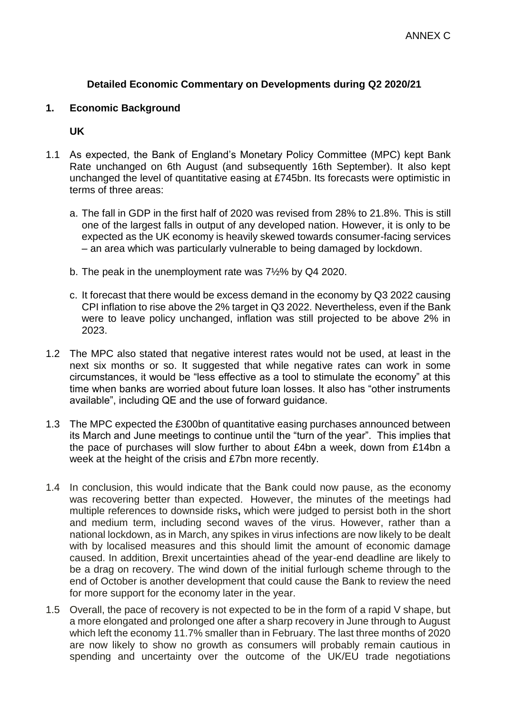# **Detailed Economic Commentary on Developments during Q2 2020/21**

#### **1. Economic Background**

**UK**

- 1.1 As expected, the Bank of England's Monetary Policy Committee (MPC) kept Bank Rate unchanged on 6th August (and subsequently 16th September). It also kept unchanged the level of quantitative easing at £745bn. Its forecasts were optimistic in terms of three areas:
	- a. The fall in GDP in the first half of 2020 was revised from 28% to 21.8%. This is still one of the largest falls in output of any developed nation. However, it is only to be expected as the UK economy is heavily skewed towards consumer-facing services – an area which was particularly vulnerable to being damaged by lockdown.
	- b. The peak in the unemployment rate was 7½% by Q4 2020.
	- c. It forecast that there would be excess demand in the economy by Q3 2022 causing CPI inflation to rise above the 2% target in Q3 2022. Nevertheless, even if the Bank were to leave policy unchanged, inflation was still projected to be above 2% in 2023.
- 1.2 The MPC also stated that negative interest rates would not be used, at least in the next six months or so. It suggested that while negative rates can work in some circumstances, it would be "less effective as a tool to stimulate the economy" at this time when banks are worried about future loan losses. It also has "other instruments available", including QE and the use of forward guidance.
- 1.3 The MPC expected the £300bn of quantitative easing purchases announced between its March and June meetings to continue until the "turn of the year". This implies that the pace of purchases will slow further to about £4bn a week, down from £14bn a week at the height of the crisis and £7bn more recently.
- 1.4 In conclusion, this would indicate that the Bank could now pause, as the economy was recovering better than expected. However, the minutes of the meetings had multiple references to downside risks**,** which were judged to persist both in the short and medium term, including second waves of the virus. However, rather than a national lockdown, as in March, any spikes in virus infections are now likely to be dealt with by localised measures and this should limit the amount of economic damage caused. In addition, Brexit uncertainties ahead of the year-end deadline are likely to be a drag on recovery. The wind down of the initial furlough scheme through to the end of October is another development that could cause the Bank to review the need for more support for the economy later in the year.
- 1.5 Overall, the pace of recovery is not expected to be in the form of a rapid V shape, but a more elongated and prolonged one after a sharp recovery in June through to August which left the economy 11.7% smaller than in February. The last three months of 2020 are now likely to show no growth as consumers will probably remain cautious in spending and uncertainty over the outcome of the UK/EU trade negotiations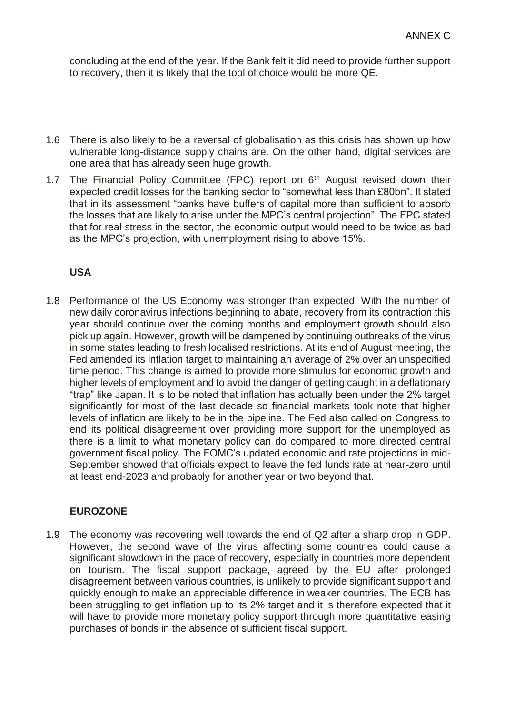concluding at the end of the year. If the Bank felt it did need to provide further support to recovery, then it is likely that the tool of choice would be more QE.

- 1.6 There is also likely to be a reversal of globalisation as this crisis has shown up how vulnerable long-distance supply chains are. On the other hand, digital services are one area that has already seen huge growth.
- 1.7 The Financial Policy Committee (FPC) report on  $6<sup>th</sup>$  August revised down their expected credit losses for the banking sector to "somewhat less than £80bn". It stated that in its assessment "banks have buffers of capital more than sufficient to absorb the losses that are likely to arise under the MPC's central projection". The FPC stated that for real stress in the sector, the economic output would need to be twice as bad as the MPC's projection, with unemployment rising to above 15%.

# **USA**

1.8 Performance of the US Economy was stronger than expected. With the number of new daily coronavirus infections beginning to abate, recovery from its contraction this year should continue over the coming months and employment growth should also pick up again. However, growth will be dampened by continuing outbreaks of the virus in some states leading to fresh localised restrictions. At its end of August meeting, the Fed amended its inflation target to maintaining an average of 2% over an unspecified time period. This change is aimed to provide more stimulus for economic growth and higher levels of employment and to avoid the danger of getting caught in a deflationary "trap" like Japan. It is to be noted that inflation has actually been under the 2% target significantly for most of the last decade so financial markets took note that higher levels of inflation are likely to be in the pipeline. The Fed also called on Congress to end its political disagreement over providing more support for the unemployed as there is a limit to what monetary policy can do compared to more directed central government fiscal policy. The FOMC's updated economic and rate projections in mid-September showed that officials expect to leave the fed funds rate at near-zero until at least end-2023 and probably for another year or two beyond that.

# **EUROZONE**

1.9 The economy was recovering well towards the end of Q2 after a sharp drop in GDP. However, the second wave of the virus affecting some countries could cause a significant slowdown in the pace of recovery, especially in countries more dependent on tourism. The fiscal support package, agreed by the EU after prolonged disagreement between various countries, is unlikely to provide significant support and quickly enough to make an appreciable difference in weaker countries. The ECB has been struggling to get inflation up to its 2% target and it is therefore expected that it will have to provide more monetary policy support through more quantitative easing purchases of bonds in the absence of sufficient fiscal support.